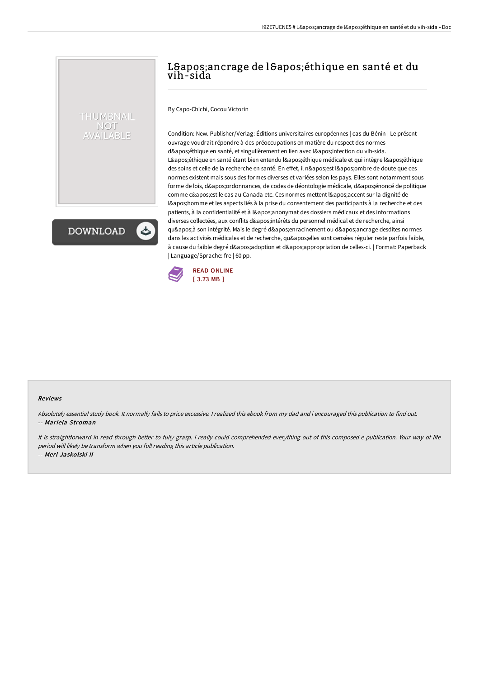# L'ancrage de l'éthique en santé et du vih-sida

By Capo-Chichi, Cocou Victorin

THUMBNAIL NOT AVAILABLE

**DOWNLOAD** 

Condition: New. Publisher/Verlag: Éditions universitaires européennes | cas du Bénin | Le présent ouvrage voudrait répondre à des préoccupations en matière du respect des normes d'éthique en santé, et singulièrement en lien avec l'infection du vih-sida. L'éthique en santé étant bien entendu l'éthique médicale et qui intègre l'éthique des soins et celle de la recherche en santé. En effet, il n'est l'ombre de doute que ces normes existent mais sous des formes diverses et variées selon les pays. Elles sont notamment sous forme de lois, d'ordonnances, de codes de déontologie médicale, d'énoncé de politique comme c&apos: est le cas au Canada etc. Ces normes mettent l&apos: accent sur la dignité de l' homme et les aspects liés à la prise du consentement des participants à la recherche et des patients, à la confidentialité et à l'anonymat des dossiers médicaux et des informations diverses collectées, aux conflits d'intérêts du personnel médical et de recherche, ainsi qu'à son intégrité. Mais le degré d'enracinement ou d'ancrage desdites normes dans les activités médicales et de recherche, qu'elles sont censées réguler reste parfois faible, à cause du faible degré d'adoption et d'appropriation de celles-ci. | Format: Paperback | Language/Sprache: fre | 60 pp.



#### Reviews

Absolutely essential study book. It normally fails to price excessive. <sup>I</sup> realized this ebook from my dad and i encouraged this publication to find out. -- Mariela Stroman

It is straightforward in read through better to fully grasp. I really could comprehended everything out of this composed e publication. Your way of life period will likely be transform when you full reading this article publication.

-- Merl Jaskolski II